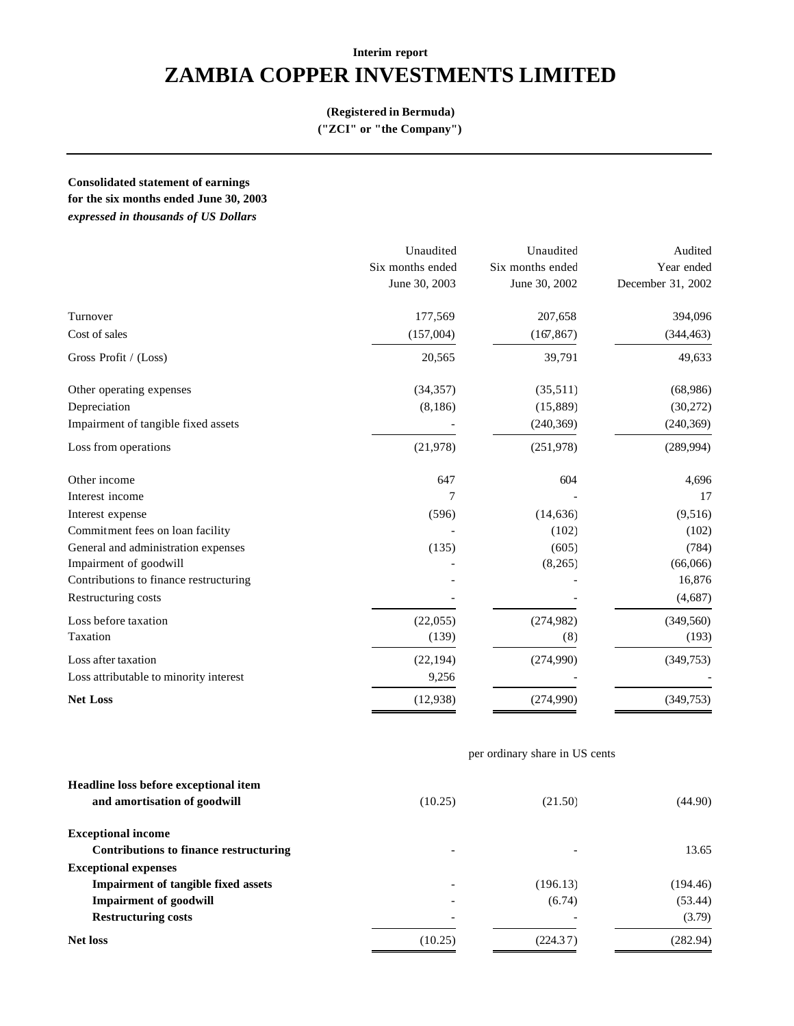# **ZAMBIA COPPER INVESTMENTS LIMITED**

#### **(Registered in Bermuda)**

**("ZCI" or "the Company")**

**Consolidated statement of earnings**

**for the six months ended June 30, 2003** 

*expressed in thousands of US Dollars*

|                                        | Unaudited        | Unaudited        | Audited           |  |
|----------------------------------------|------------------|------------------|-------------------|--|
|                                        | Six months ended | Six months ended | Year ended        |  |
|                                        | June 30, 2003    | June 30, 2002    | December 31, 2002 |  |
| Turnover                               | 177,569          | 207,658          | 394,096           |  |
| Cost of sales                          | (157,004)        | (167, 867)       | (344, 463)        |  |
| Gross Profit / (Loss)                  | 20,565           | 39,791           | 49,633            |  |
| Other operating expenses               | (34, 357)        | (35,511)         | (68,986)          |  |
| Depreciation                           | (8, 186)         | (15,889)         | (30,272)          |  |
| Impairment of tangible fixed assets    |                  | (240, 369)       | (240, 369)        |  |
| Loss from operations                   | (21, 978)        | (251,978)        | (289, 994)        |  |
| Other income                           | 647              | 604              | 4,696             |  |
| Interest income                        | 7                |                  | 17                |  |
| Interest expense                       | (596)            | (14, 636)        | (9,516)           |  |
| Commitment fees on loan facility       |                  | (102)            | (102)             |  |
| General and administration expenses    | (135)            | (605)            | (784)             |  |
| Impairment of goodwill                 |                  | (8, 265)         | (66,066)          |  |
| Contributions to finance restructuring |                  |                  | 16,876            |  |
| Restructuring costs                    |                  |                  | (4,687)           |  |
| Loss before taxation                   | (22,055)         | (274,982)        | (349, 560)        |  |
| Taxation                               | (139)            | (8)              | (193)             |  |
| Loss after taxation                    | (22, 194)        | (274,990)        | (349,753)         |  |
| Loss attributable to minority interest | 9,256            |                  |                   |  |
| <b>Net Loss</b>                        | (12, 938)        | (274,990)        | (349,753)         |  |

## per ordinary share in US cents

| Headline loss before exceptional item<br>and amortisation of goodwill | (10.25)                  | (21.50)                  | (44.90)  |
|-----------------------------------------------------------------------|--------------------------|--------------------------|----------|
| <b>Exceptional income</b>                                             |                          |                          |          |
| Contributions to finance restructuring                                | $\overline{\phantom{a}}$ | $\overline{\phantom{a}}$ | 13.65    |
| <b>Exceptional expenses</b>                                           |                          |                          |          |
| <b>Impairment of tangible fixed assets</b>                            | $\overline{\phantom{a}}$ | (196.13)                 | (194.46) |
| <b>Impairment of goodwill</b>                                         | $\overline{\phantom{0}}$ | (6.74)                   | (53.44)  |
| <b>Restructuring costs</b>                                            | $\overline{\phantom{a}}$ |                          | (3.79)   |
| <b>Net loss</b>                                                       | (10.25)                  | (224.37)                 | (282.94) |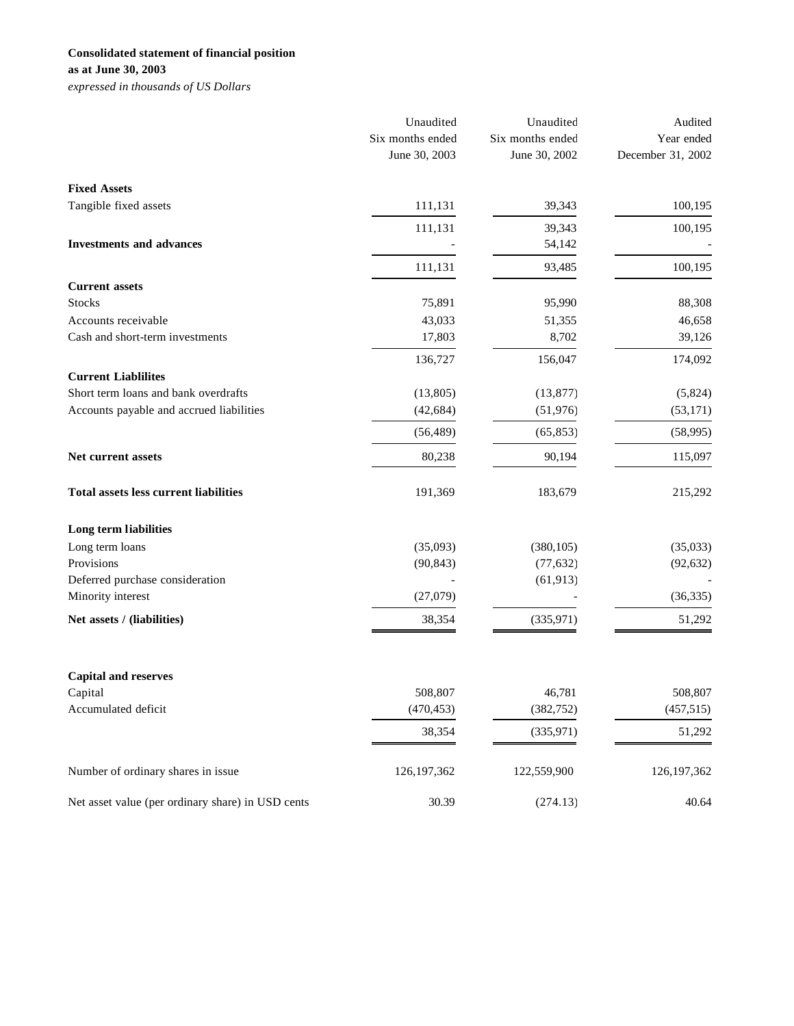## **Consolidated statement of financial position**

**as at June 30, 2003**

*expressed in thousands of US Dollars*

|                                                   | Unaudited<br>Six months ended<br>June 30, 2003 | Unaudited<br>Six months ended<br>June 30, 2002 | Audited<br>Year ended<br>December 31, 2002 |
|---------------------------------------------------|------------------------------------------------|------------------------------------------------|--------------------------------------------|
| <b>Fixed Assets</b>                               |                                                |                                                |                                            |
| Tangible fixed assets                             | 111,131                                        | 39,343                                         | 100,195                                    |
|                                                   | 111,131                                        | 39,343                                         | 100,195                                    |
| <b>Investments and advances</b>                   |                                                | 54,142                                         |                                            |
|                                                   | 111,131                                        | 93,485                                         | 100,195                                    |
| <b>Current assets</b>                             |                                                |                                                |                                            |
| <b>Stocks</b>                                     | 75,891                                         | 95,990                                         | 88,308                                     |
| Accounts receivable                               | 43,033                                         | 51,355                                         | 46,658                                     |
| Cash and short-term investments                   | 17,803                                         | 8,702                                          | 39,126                                     |
|                                                   | 136,727                                        | 156,047                                        | 174,092                                    |
| <b>Current Liablilites</b>                        |                                                |                                                |                                            |
| Short term loans and bank overdrafts              | (13,805)                                       | (13, 877)                                      | (5,824)                                    |
| Accounts payable and accrued liabilities          | (42, 684)                                      | (51, 976)                                      | (53, 171)                                  |
|                                                   | (56, 489)                                      | (65, 853)                                      | (58,995)                                   |
| Net current assets                                | 80,238                                         | 90,194                                         | 115,097                                    |
| <b>Total assets less current liabilities</b>      | 191,369                                        | 183,679                                        | 215,292                                    |
| Long term liabilities                             |                                                |                                                |                                            |
| Long term loans                                   | (35,093)                                       | (380, 105)                                     | (35,033)                                   |
| Provisions                                        | (90, 843)                                      | (77, 632)                                      | (92, 632)                                  |
| Deferred purchase consideration                   |                                                | (61, 913)                                      |                                            |
| Minority interest                                 | (27,079)                                       |                                                | (36, 335)                                  |
| Net assets / (liabilities)                        | 38,354                                         | (335, 971)                                     | 51,292                                     |
|                                                   |                                                |                                                |                                            |
| <b>Capital and reserves</b><br>Capital            | 508,807                                        | 46,781                                         | 508,807                                    |
| Accumulated deficit                               | (470, 453)                                     | (382, 752)                                     | (457,515)                                  |
|                                                   |                                                |                                                |                                            |
|                                                   | 38,354                                         | (335, 971)                                     | 51,292                                     |
| Number of ordinary shares in issue                | 126, 197, 362                                  | 122,559,900                                    | 126, 197, 362                              |
| Net asset value (per ordinary share) in USD cents | 30.39                                          | (274.13)                                       | 40.64                                      |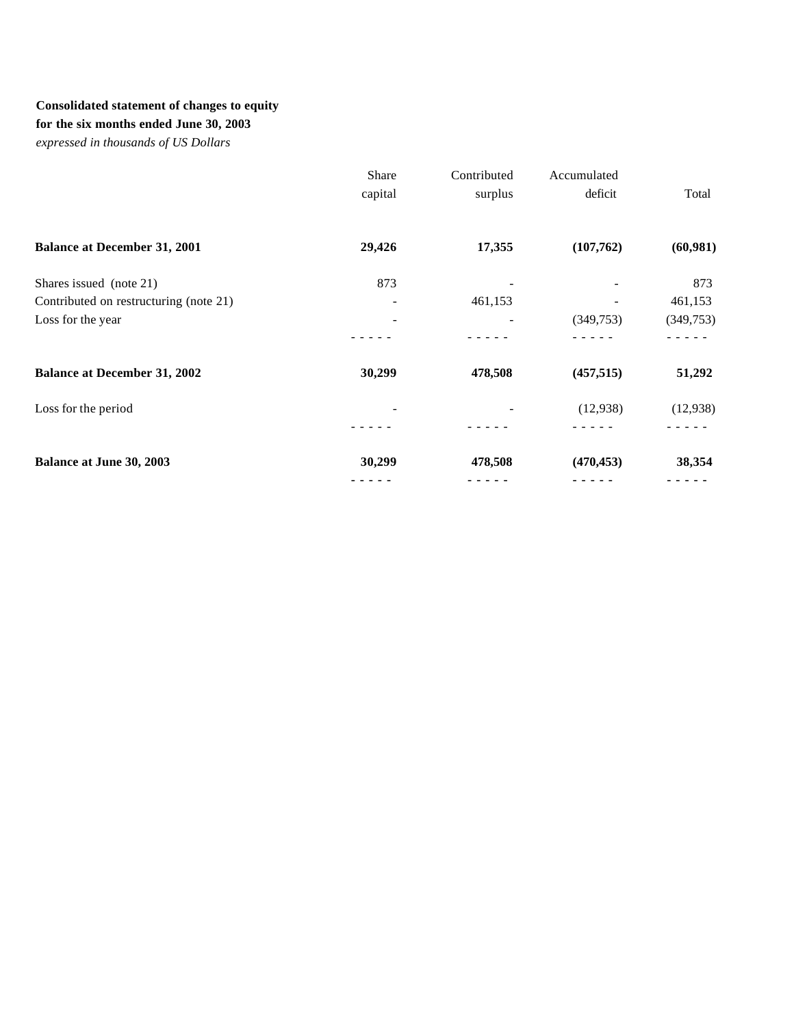## **Consolidated statement of changes to equity**

**for the six months ended June 30, 2003**

*expressed in thousands of US Dollars*

|                                        | Share   | Contributed | Accumulated |           |
|----------------------------------------|---------|-------------|-------------|-----------|
|                                        | capital | surplus     | deficit     | Total     |
| <b>Balance at December 31, 2001</b>    | 29,426  | 17,355      | (107,762)   | (60, 981) |
| Shares issued (note 21)                | 873     |             |             | 873       |
| Contributed on restructuring (note 21) |         | 461,153     |             | 461,153   |
| Loss for the year                      | -       |             | (349,753)   | (349,753) |
|                                        |         |             |             |           |
| <b>Balance at December 31, 2002</b>    | 30,299  | 478,508     | (457, 515)  | 51,292    |
| Loss for the period                    |         |             | (12,938)    | (12, 938) |
|                                        |         |             |             |           |
| Balance at June 30, 2003               | 30,299  | 478,508     | (470, 453)  | 38,354    |
|                                        |         |             |             |           |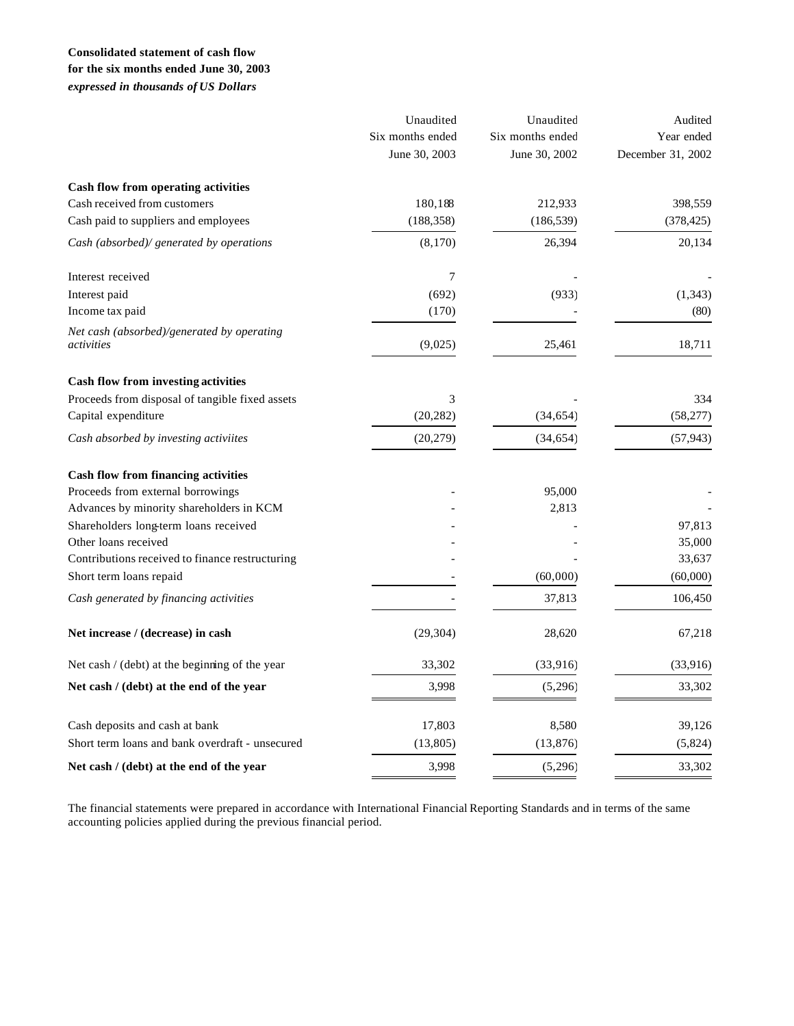### **Consolidated statement of cash flow for the six months ended June 30, 2003**

*expressed in thousands of US Dollars*

|                                                          | Unaudited<br>Six months ended<br>June 30, 2003 | Unaudited<br>Six months ended<br>June 30, 2002 | Audited<br>Year ended<br>December 31, 2002 |
|----------------------------------------------------------|------------------------------------------------|------------------------------------------------|--------------------------------------------|
| Cash flow from operating activities                      |                                                |                                                |                                            |
| Cash received from customers                             | 180,188                                        | 212,933                                        | 398,559                                    |
| Cash paid to suppliers and employees                     | (188, 358)                                     | (186, 539)                                     | (378, 425)                                 |
| Cash (absorbed)/ generated by operations                 | (8,170)                                        | 26,394                                         | 20,134                                     |
| Interest received                                        | 7                                              |                                                |                                            |
| Interest paid                                            | (692)                                          | (933)                                          | (1, 343)                                   |
| Income tax paid                                          | (170)                                          |                                                | (80)                                       |
| Net cash (absorbed)/generated by operating<br>activities | (9,025)                                        | 25,461                                         | 18,711                                     |
| Cash flow from investing activities                      |                                                |                                                |                                            |
| Proceeds from disposal of tangible fixed assets          | 3                                              |                                                | 334                                        |
| Capital expenditure                                      | (20, 282)                                      | (34, 654)                                      | (58,277)                                   |
| Cash absorbed by investing activiites                    | (20, 279)                                      | (34, 654)                                      | (57, 943)                                  |
| Cash flow from financing activities                      |                                                |                                                |                                            |
| Proceeds from external borrowings                        |                                                | 95,000                                         |                                            |
| Advances by minority shareholders in KCM                 |                                                | 2,813                                          |                                            |
| Shareholders long-term loans received                    |                                                |                                                | 97,813                                     |
| Other loans received                                     |                                                |                                                | 35,000                                     |
| Contributions received to finance restructuring          |                                                |                                                | 33,637                                     |
| Short term loans repaid                                  |                                                | (60,000)                                       | (60,000)                                   |
| Cash generated by financing activities                   |                                                | 37,813                                         | 106,450                                    |
| Net increase / (decrease) in cash                        | (29, 304)                                      | 28,620                                         | 67,218                                     |
| Net cash $/$ (debt) at the beginning of the year         | 33,302                                         | (33,916)                                       | (33,916)                                   |
| Net cash / (debt) at the end of the year                 | 3,998                                          | (5,296)                                        | 33,302                                     |
| Cash deposits and cash at bank                           | 17,803                                         | 8,580                                          | 39,126                                     |
| Short term loans and bank overdraft - unsecured          | (13, 805)                                      | (13, 876)                                      | (5,824)                                    |
| Net cash / (debt) at the end of the year                 | 3,998                                          | (5,296)                                        | 33,302                                     |

The financial statements were prepared in accordance with International Financial Reporting Standards and in terms of the same accounting policies applied during the previous financial period.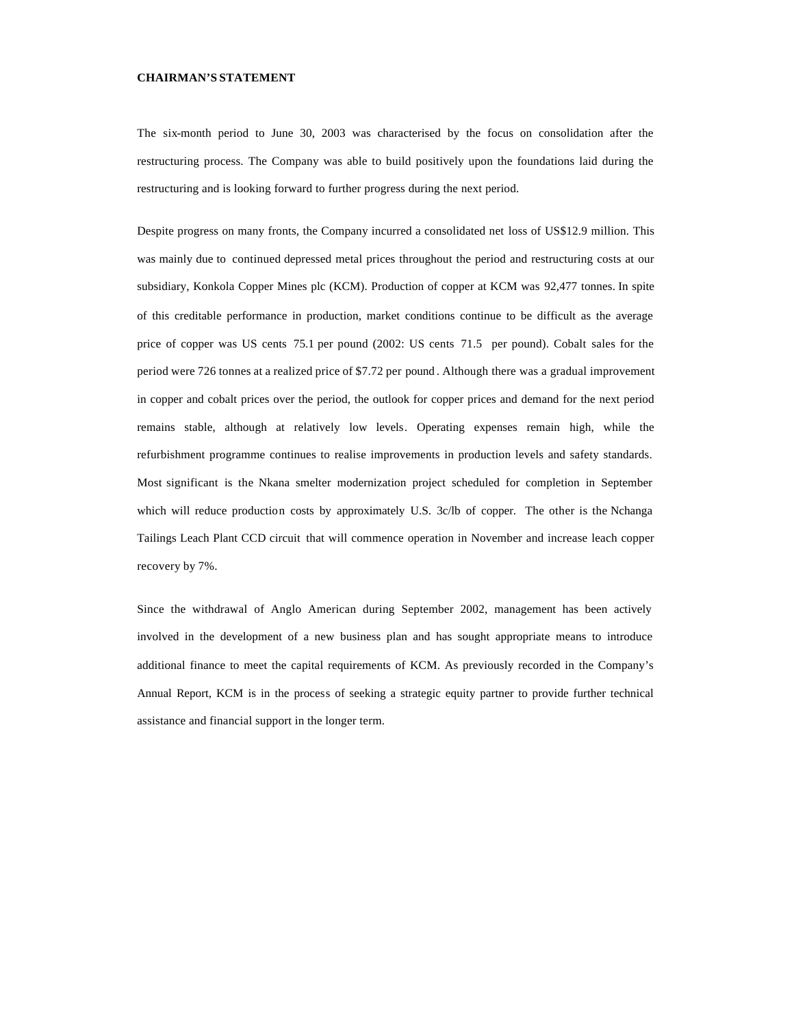#### **CHAIRMAN'S STATEMENT**

The six-month period to June 30, 2003 was characterised by the focus on consolidation after the restructuring process. The Company was able to build positively upon the foundations laid during the restructuring and is looking forward to further progress during the next period.

Despite progress on many fronts, the Company incurred a consolidated net loss of US\$12.9 million. This was mainly due to continued depressed metal prices throughout the period and restructuring costs at our subsidiary, Konkola Copper Mines plc (KCM). Production of copper at KCM was 92,477 tonnes. In spite of this creditable performance in production, market conditions continue to be difficult as the average price of copper was US cents 75.1 per pound (2002: US cents 71.5 per pound). Cobalt sales for the period were 726 tonnes at a realized price of \$7.72 per pound . Although there was a gradual improvement in copper and cobalt prices over the period, the outlook for copper prices and demand for the next period remains stable, although at relatively low levels. Operating expenses remain high, while the refurbishment programme continues to realise improvements in production levels and safety standards. Most significant is the Nkana smelter modernization project scheduled for completion in September which will reduce production costs by approximately U.S. 3c/lb of copper. The other is the Nchanga Tailings Leach Plant CCD circuit that will commence operation in November and increase leach copper recovery by 7%.

Since the withdrawal of Anglo American during September 2002, management has been actively involved in the development of a new business plan and has sought appropriate means to introduce additional finance to meet the capital requirements of KCM. As previously recorded in the Company's Annual Report, KCM is in the process of seeking a strategic equity partner to provide further technical assistance and financial support in the longer term.